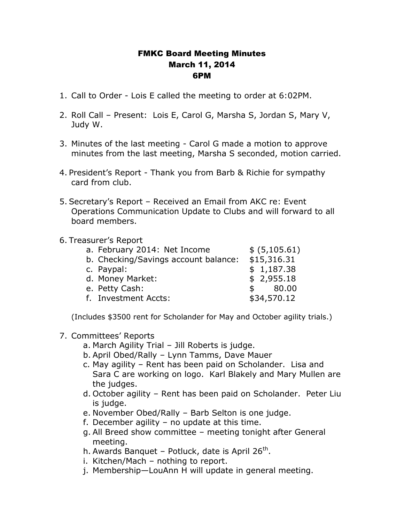## FMKC Board Meeting Minutes March 11, 2014 6PM

- 1. Call to Order Lois E called the meeting to order at 6:02PM.
- 2. Roll Call Present: Lois E, Carol G, Marsha S, Jordan S, Mary V, Judy W.
- 3. Minutes of the last meeting Carol G made a motion to approve minutes from the last meeting, Marsha S seconded, motion carried.
- 4. President's Report Thank you from Barb & Richie for sympathy card from club.
- 5. Secretary's Report Received an Email from AKC re: Event Operations Communication Update to Clubs and will forward to all board members.

## 6. Treasurer's Report

| a. February 2014: Net Income         | \$ (5,105.61)         |
|--------------------------------------|-----------------------|
| b. Checking/Savings account balance: | \$15,316.31           |
| c. Paypal:                           | \$1,187.38            |
| d. Money Market:                     | \$2,955.18            |
| e. Petty Cash:                       | 80.00<br>$\mathsf{s}$ |
| f. Investment Accts:                 | \$34,570.12           |

(Includes \$3500 rent for Scholander for May and October agility trials.)

- 7. Committees' Reports
	- a. March Agility Trial Jill Roberts is judge.
	- b. April Obed/Rally Lynn Tamms, Dave Mauer
	- c. May agility Rent has been paid on Scholander. Lisa and Sara C are working on logo. Karl Blakely and Mary Mullen are the judges.
	- d. October agility Rent has been paid on Scholander. Peter Liu is judge.
	- e. November Obed/Rally Barb Selton is one judge.
	- f. December agility no update at this time.
	- g. All Breed show committee meeting tonight after General meeting.
	- h. Awards Banquet Potluck, date is April 26<sup>th</sup>.
	- i. Kitchen/Mach nothing to report.
	- j. Membership—LouAnn H will update in general meeting.